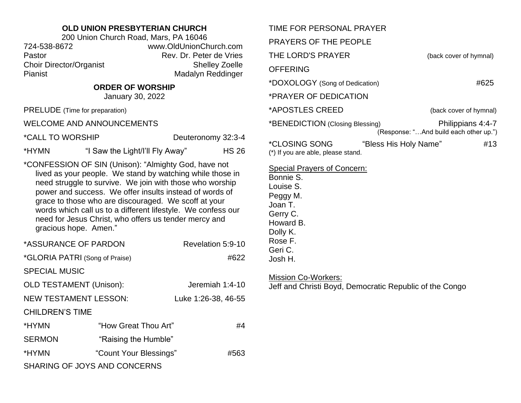## **OLD UNION PRESBYTERIAN CHURCH**

200 Union Church Road, Mars, PA 16046 724-538-8672 www.OldUnionChurch.com Pastor **Pastor** Rev. Dr. Peter de Vries Choir Director/Organist Shelley Zoelle Pianist Madalyn Reddinger

## **ORDER OF WORSHIP**

January 30, 2022

PRELUDE (Time for preparation)

WELCOME AND ANNOUNCEMENTS

\*CALL TO WORSHIP Deuteronomy 32:3-4

\*HYMN "I Saw the Light/I'll Fly Away" HS 26

\*CONFESSION OF SIN (Unison): "Almighty God, have not lived as your people. We stand by watching while those in need struggle to survive. We join with those who worship power and success. We offer insults instead of words of grace to those who are discouraged. We scoff at your words which call us to a different lifestyle. We confess our need for Jesus Christ, who offers us tender mercy and gracious hope. Amen."

| *ASSURANCE OF PARDON                |                        | Revelation 5:9-10   |  |
|-------------------------------------|------------------------|---------------------|--|
| *GLORIA PATRI (Song of Praise)      |                        | #622                |  |
| <b>SPECIAL MUSIC</b>                |                        |                     |  |
| <b>OLD TESTAMENT (Unison):</b>      |                        | Jeremiah 1:4-10     |  |
| <b>NEW TESTAMENT LESSON:</b>        |                        | Luke 1:26-38, 46-55 |  |
| <b>CHILDREN'S TIME</b>              |                        |                     |  |
| *HYMN                               | "How Great Thou Art"   | #4                  |  |
| <b>SERMON</b>                       | "Raising the Humble"   |                     |  |
| *HYMN                               | "Count Your Blessings" | #563                |  |
| <b>SHARING OF JOYS AND CONCERNS</b> |                        |                     |  |

| TIME FOR PERSONAL PRAYER                                                                                                                                  |                                                             |  |
|-----------------------------------------------------------------------------------------------------------------------------------------------------------|-------------------------------------------------------------|--|
| PRAYERS OF THE PEOPLE                                                                                                                                     |                                                             |  |
| THE LORD'S PRAYER                                                                                                                                         | (back cover of hymnal)                                      |  |
| <b>OFFERING</b>                                                                                                                                           |                                                             |  |
| *DOXOLOGY (Song of Dedication)                                                                                                                            | #625                                                        |  |
| *PRAYER OF DEDICATION                                                                                                                                     |                                                             |  |
| *APOSTLES CREED                                                                                                                                           | (back cover of hymnal)                                      |  |
| *BENEDICTION (Closing Blessing)                                                                                                                           | Philippians 4:4-7<br>(Response: "And build each other up.") |  |
| *CLOSING SONG<br>"Bless His Holy Name"<br>(*) If you are able, please stand.                                                                              | #13                                                         |  |
| <b>Special Prayers of Concern:</b><br>Bonnie S.<br>Louise S.<br>Peggy M.<br>Joan T.<br>Gerry C.<br>Howard B.<br>Dolly K.<br>Rose F.<br>Geri C.<br>Josh H. |                                                             |  |
| <b>Mission Co-Workers:</b><br>Jeff and Christi Boyd, Democratic Republic of the Congo                                                                     |                                                             |  |